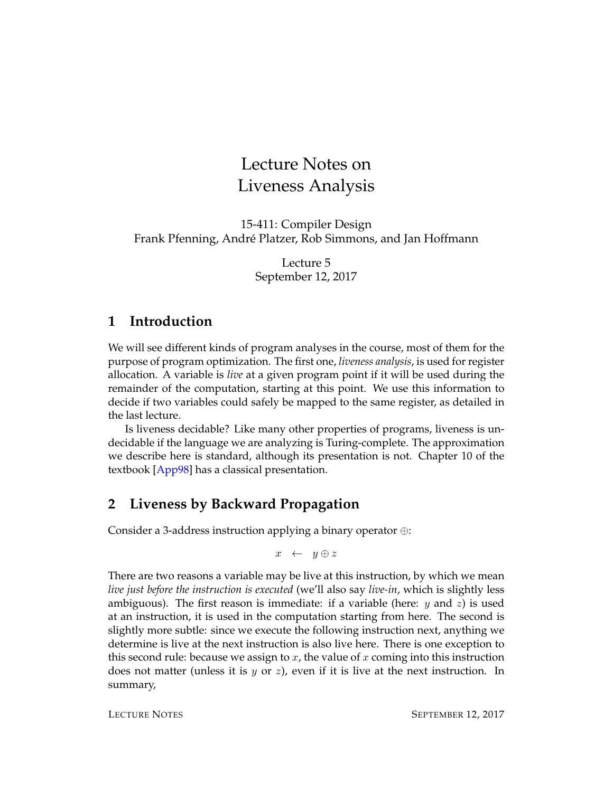# Lecture Notes on Liveness Analysis

15-411: Compiler Design Frank Pfenning, André Platzer, Rob Simmons, and Jan Hoffmann

> Lecture 5 September 12, 2017

#### **1 Introduction**

We will see different kinds of program analyses in the course, most of them for the purpose of program optimization. The first one, *liveness analysis*, is used for register allocation. A variable is *live* at a given program point if it will be used during the remainder of the computation, starting at this point. We use this information to decide if two variables could safely be mapped to the same register, as detailed in the last lecture.

Is liveness decidable? Like many other properties of programs, liveness is undecidable if the language we are analyzing is Turing-complete. The approximation we describe here is standard, although its presentation is not. Chapter 10 of the textbook [\[App98\]](#page-12-0) has a classical presentation.

## **2 Liveness by Backward Propagation**

Consider a 3-address instruction applying a binary operator ⊕:

 $x \leftarrow y \oplus z$ 

There are two reasons a variable may be live at this instruction, by which we mean *live just before the instruction is executed* (we'll also say *live-in*, which is slightly less ambiguous). The first reason is immediate: if a variable (here:  $y$  and  $z$ ) is used at an instruction, it is used in the computation starting from here. The second is slightly more subtle: since we execute the following instruction next, anything we determine is live at the next instruction is also live here. There is one exception to this second rule: because we assign to x, the value of x coming into this instruction does not matter (unless it is  $y$  or  $z$ ), even if it is live at the next instruction. In summary,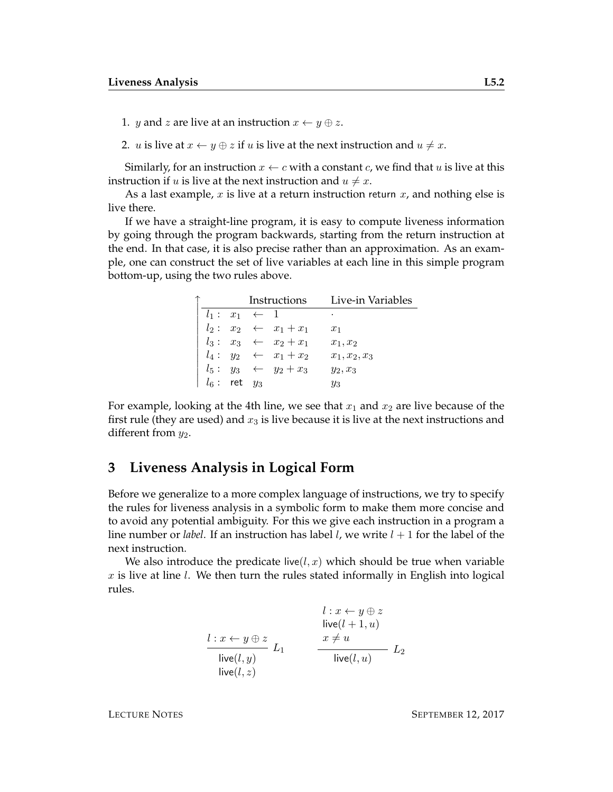- 1. *y* and *z* are live at an instruction  $x \leftarrow y \oplus z$ .
- 2. *u* is live at  $x \leftarrow y \oplus z$  if *u* is live at the next instruction and  $u \neq x$ .

Similarly, for an instruction  $x \leftarrow c$  with a constant c, we find that u is live at this instruction if u is live at the next instruction and  $u \neq x$ .

As a last example,  $x$  is live at a return instruction return  $x$ , and nothing else is live there.

If we have a straight-line program, it is easy to compute liveness information by going through the program backwards, starting from the return instruction at the end. In that case, it is also precise rather than an approximation. As an example, one can construct the set of live variables at each line in this simple program bottom-up, using the two rules above.

|                   |  |                         | Instructions Live-in Variables  |                 |  |  |
|-------------------|--|-------------------------|---------------------------------|-----------------|--|--|
|                   |  | $l_1: x_1 \leftarrow 1$ |                                 | ٠               |  |  |
|                   |  |                         | $l_2: x_2 \leftarrow x_1 + x_1$ | $x_1$           |  |  |
|                   |  |                         | $l_3: x_3 \leftarrow x_2 + x_1$ | $x_1, x_2$      |  |  |
|                   |  |                         | $l_4: y_2 \leftarrow x_1 + x_2$ | $x_1, x_2, x_3$ |  |  |
|                   |  |                         | $l_5: y_3 \leftarrow y_2 + x_3$ | $y_2, x_3$      |  |  |
| $l_6$ : ret $y_3$ |  |                         |                                 | $y_3$           |  |  |

For example, looking at the 4th line, we see that  $x_1$  and  $x_2$  are live because of the first rule (they are used) and  $x_3$  is live because it is live at the next instructions and different from  $y_2$ .

#### **3 Liveness Analysis in Logical Form**

Before we generalize to a more complex language of instructions, we try to specify the rules for liveness analysis in a symbolic form to make them more concise and to avoid any potential ambiguity. For this we give each instruction in a program a line number or *label*. If an instruction has label *l*, we write  $l + 1$  for the label of the next instruction.

We also introduce the predicate live( $l, x$ ) which should be true when variable  $x$  is live at line  $l$ . We then turn the rules stated informally in English into logical rules.

$$
l: x \leftarrow y \oplus z
$$
  
\n
$$
\text{live}(l + 1, u)
$$
  
\n
$$
\text{live}(l, y)
$$
  
\n
$$
\text{live}(l, y)
$$
  
\n
$$
\text{live}(l, z)
$$
  
\n
$$
L_1
$$
  
\n
$$
\text{live}(l, u)
$$
  
\n
$$
L_2
$$
  
\n
$$
\text{live}(l, z)
$$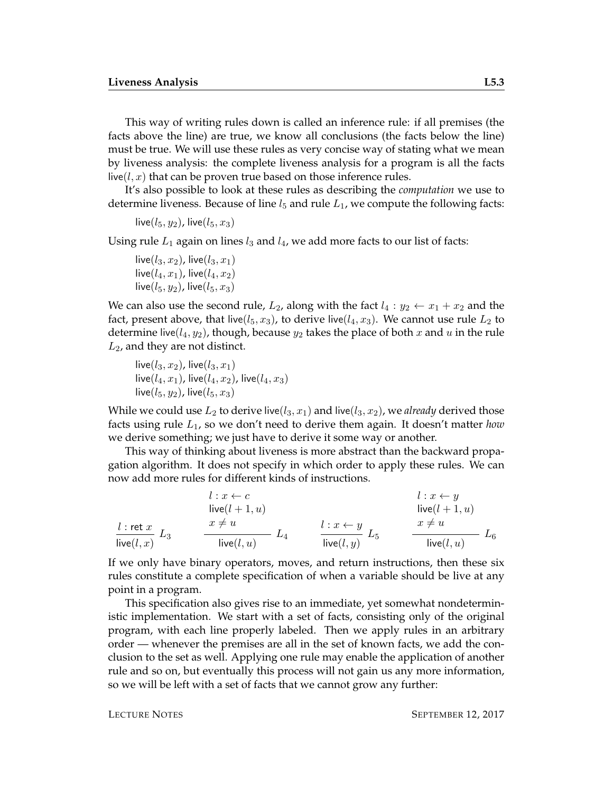This way of writing rules down is called an inference rule: if all premises (the facts above the line) are true, we know all conclusions (the facts below the line) must be true. We will use these rules as very concise way of stating what we mean by liveness analysis: the complete liveness analysis for a program is all the facts live( $l, x$ ) that can be proven true based on those inference rules.

It's also possible to look at these rules as describing the *computation* we use to determine liveness. Because of line  $l_5$  and rule  $L_1$ , we compute the following facts:

```
live(l_5, y_2), live(l_5, x_3)
```
Using rule  $L_1$  again on lines  $l_3$  and  $l_4$ , we add more facts to our list of facts:

```
live(l_3, x_2), live(l_3, x_1)
live(l_4, x_1), live(l_4, x_2)
live(l_5, y_2), live(l_5, x_3)
```
We can also use the second rule,  $L_2$ , along with the fact  $l_4 : y_2 \leftarrow x_1 + x_2$  and the fact, present above, that live( $l_5$ ,  $x_3$ ), to derive live( $l_4$ ,  $x_3$ ). We cannot use rule  $L_2$  to determine live( $l_4$ ,  $y_2$ ), though, because  $y_2$  takes the place of both x and u in the rule  $L_2$ , and they are not distinct.

```
live(l_3, x_2), live(l_3, x_1)live(l_4, x_1), live(l_4, x_2), live(l_4, x_3)
live(l_5, y_2), live(l_5, x_3)
```
While we could use  $L_2$  to derive live( $l_3$ ,  $x_1$ ) and live( $l_3$ ,  $x_2$ ), we *already* derived those facts using rule L1, so we don't need to derive them again. It doesn't matter *how* we derive something; we just have to derive it some way or another.

This way of thinking about liveness is more abstract than the backward propagation algorithm. It does not specify in which order to apply these rules. We can now add more rules for different kinds of instructions.

|               | $l: x \leftarrow c$ |                     | $l: x \leftarrow y$ |             |
|---------------|---------------------|---------------------|---------------------|-------------|
|               | live $(l + 1, u)$   |                     | live $(l + 1, u)$   |             |
| $l$ : ret $x$ | $x \neq u$          | $l: x \leftarrow y$ | $x \neq u$          |             |
| live $(l, x)$ | ⊷4<br>live(l, u)    | live $(l, y)$       | live $(l, u)$       | $L_{\rm 6}$ |

If we only have binary operators, moves, and return instructions, then these six rules constitute a complete specification of when a variable should be live at any point in a program.

This specification also gives rise to an immediate, yet somewhat nondeterministic implementation. We start with a set of facts, consisting only of the original program, with each line properly labeled. Then we apply rules in an arbitrary order — whenever the premises are all in the set of known facts, we add the conclusion to the set as well. Applying one rule may enable the application of another rule and so on, but eventually this process will not gain us any more information, so we will be left with a set of facts that we cannot grow any further: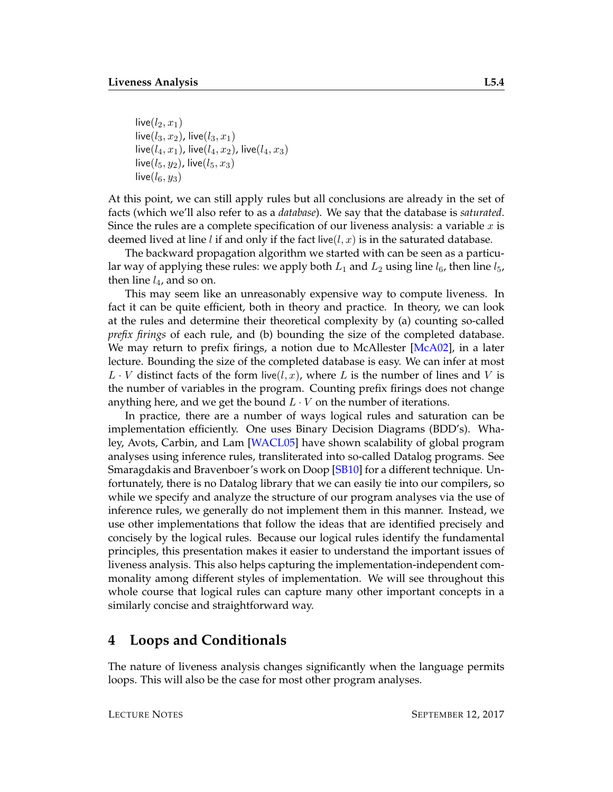live $(l_2, x_1)$ live( $l_3, x_2$ ), live( $l_3, x_1$ ) live( $l_4, x_1$ ), live( $l_4, x_2$ ), live( $l_4, x_3$ ) live $(l_5, y_2)$ , live $(l_5, x_3)$ live $(l_6, y_3)$ 

At this point, we can still apply rules but all conclusions are already in the set of facts (which we'll also refer to as a *database*). We say that the database is *saturated*. Since the rules are a complete specification of our liveness analysis: a variable  $x$  is deemed lived at line *l* if and only if the fact live(*l*, *x*) is in the saturated database.

The backward propagation algorithm we started with can be seen as a particular way of applying these rules: we apply both  $L_1$  and  $L_2$  using line  $l_6$ , then line  $l_5$ , then line  $l_4$ , and so on.

This may seem like an unreasonably expensive way to compute liveness. In fact it can be quite efficient, both in theory and practice. In theory, we can look at the rules and determine their theoretical complexity by (a) counting so-called *prefix firings* of each rule, and (b) bounding the size of the completed database. We may return to prefix firings, a notion due to McAllester [\[McA02\]](#page-12-1), in a later lecture. Bounding the size of the completed database is easy. We can infer at most  $L \cdot V$  distinct facts of the form live(*l*, *x*), where L is the number of lines and V is the number of variables in the program. Counting prefix firings does not change anything here, and we get the bound  $L \cdot V$  on the number of iterations.

In practice, there are a number of ways logical rules and saturation can be implementation efficiently. One uses Binary Decision Diagrams (BDD's). Whaley, Avots, Carbin, and Lam [\[WACL05\]](#page-12-2) have shown scalability of global program analyses using inference rules, transliterated into so-called Datalog programs. See Smaragdakis and Bravenboer's work on Doop [\[SB10\]](#page-12-3) for a different technique. Unfortunately, there is no Datalog library that we can easily tie into our compilers, so while we specify and analyze the structure of our program analyses via the use of inference rules, we generally do not implement them in this manner. Instead, we use other implementations that follow the ideas that are identified precisely and concisely by the logical rules. Because our logical rules identify the fundamental principles, this presentation makes it easier to understand the important issues of liveness analysis. This also helps capturing the implementation-independent commonality among different styles of implementation. We will see throughout this whole course that logical rules can capture many other important concepts in a similarly concise and straightforward way.

#### **4 Loops and Conditionals**

The nature of liveness analysis changes significantly when the language permits loops. This will also be the case for most other program analyses.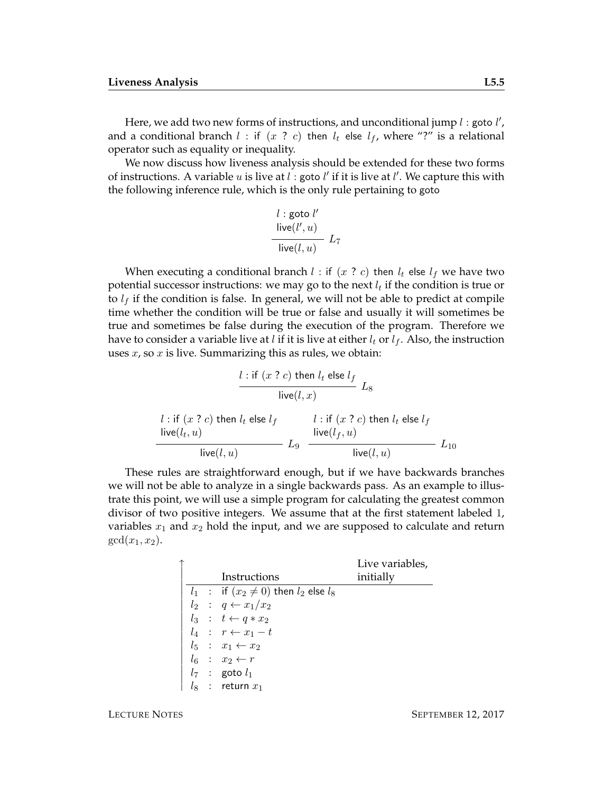Here, we add two new forms of instructions, and unconditional jump  $l$  : goto  $l'$ , and a conditional branch  $l$  : if  $(x ? c)$  then  $l_t$  else  $l_f$ , where "?" is a relational operator such as equality or inequality.

We now discuss how liveness analysis should be extended for these two forms of instructions. A variable  $u$  is live at  $l$  : goto  $l'$  if it is live at  $l'$ . We capture this with the following inference rule, which is the only rule pertaining to goto

$$
\frac{l : \text{goto } l'}{\text{live}(l', u)} \frac{}{\text{live}(l, u)} \frac{}{\text{L}_7}
$$

When executing a conditional branch l : if  $(x ? c)$  then  $l_t$  else  $l_f$  we have two potential successor instructions: we may go to the next  $l_t$  if the condition is true or to  $l_f$  if the condition is false. In general, we will not be able to predict at compile time whether the condition will be true or false and usually it will sometimes be true and sometimes be false during the execution of the program. Therefore we have to consider a variable live at l if it is live at either  $l_t$  or  $l_f$ . Also, the instruction uses  $x$ , so  $x$  is live. Summarizing this as rules, we obtain:

$$
\frac{l : \text{if } (x ? c) \text{ then } l_t \text{ else } l_f}{\text{live}(l, x)} L_8
$$
\n
$$
l : \text{if } (x ? c) \text{ then } l_t \text{ else } l_f
$$
\n
$$
\frac{l : \text{if } (x ? c) \text{ then } l_t \text{ else } l_f}{\text{live}(l_t, u)}
$$
\n
$$
L_9 \xrightarrow{\text{live}(l_f, u)} L_{10}
$$
\n
$$
L_{10}
$$

These rules are straightforward enough, but if we have backwards branches we will not be able to analyze in a single backwards pass. As an example to illustrate this point, we will use a simple program for calculating the greatest common divisor of two positive integers. We assume that at the first statement labeled 1, variables  $x_1$  and  $x_2$  hold the input, and we are supposed to calculate and return  $gcd(x_1, x_2)$ .

|  |                                                 | Live variables, |
|--|-------------------------------------------------|-----------------|
|  | Instructions                                    | initially       |
|  | $l_1$ : if $(x_2 \neq 0)$ then $l_2$ else $l_8$ |                 |
|  | $l_2$ : $q \leftarrow x_1/x_2$                  |                 |
|  | $l_3 : t \leftarrow q * x_2$                    |                 |
|  | $l_4$ : $r \leftarrow x_1 - t$                  |                 |
|  | $l_5$ : $x_1 \leftarrow x_2$                    |                 |
|  | $l_6$ : $x_2 \leftarrow r$                      |                 |
|  | $l_7$ : goto $l_1$                              |                 |
|  | $\therefore$ return $x_1$                       |                 |
|  |                                                 |                 |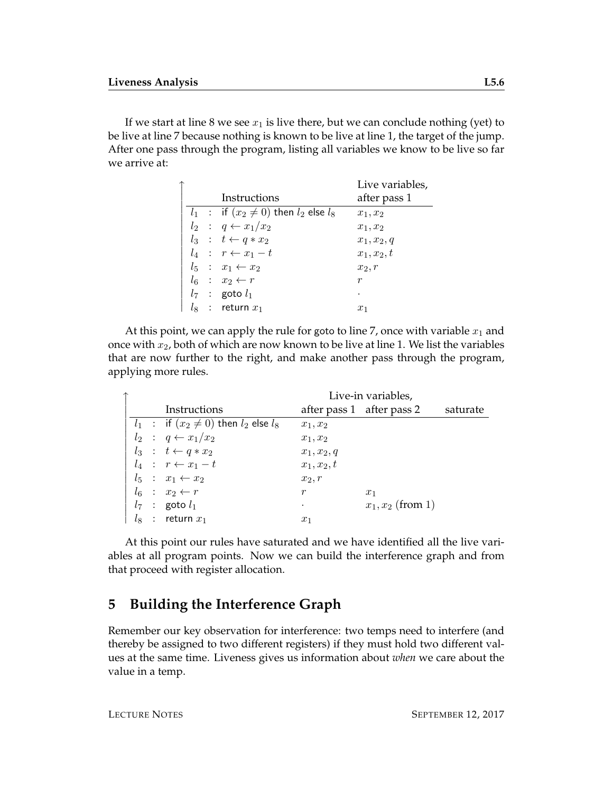If we start at line 8 we see  $x_1$  is live there, but we can conclude nothing (yet) to be live at line 7 because nothing is known to be live at line 1, the target of the jump. After one pass through the program, listing all variables we know to be live so far we arrive at:

|  |                                                 | Live variables, |
|--|-------------------------------------------------|-----------------|
|  | Instructions                                    | after pass 1    |
|  | $l_1$ : if $(x_2 \neq 0)$ then $l_2$ else $l_8$ | $x_1, x_2$      |
|  | $l_2$ : $q \leftarrow x_1/x_2$                  | $x_1, x_2$      |
|  | $l_3 : t \leftarrow q * x_2$                    | $x_1, x_2, q$   |
|  | $l_4$ : $r \leftarrow x_1 - t$                  | $x_1, x_2, t$   |
|  | $l_5$ : $x_1 \leftarrow x_2$                    | $x_2, r$        |
|  | $l_6$ : $x_2 \leftarrow r$                      | r               |
|  | $l_7$ : goto $l_1$                              |                 |
|  | $\therefore$ return $x_1$                       | $x_1$           |

At this point, we can apply the rule for goto to line 7, once with variable  $x_1$  and once with  $x_2$ , both of which are now known to be live at line 1. We list the variables that are now further to the right, and make another pass through the program, applying more rules.

|  |  |  |                                                 | Live-in variables,        |                     |          |
|--|--|--|-------------------------------------------------|---------------------------|---------------------|----------|
|  |  |  | Instructions                                    | after pass 1 after pass 2 |                     | saturate |
|  |  |  | $l_1$ : if $(x_2 \neq 0)$ then $l_2$ else $l_8$ | $x_1, x_2$                |                     |          |
|  |  |  | $l_2$ : $q \leftarrow x_1/x_2$                  | $x_1, x_2$                |                     |          |
|  |  |  | $l_3 : t \leftarrow q * x_2$                    | $x_1, x_2, q$             |                     |          |
|  |  |  | $l_4$ : $r \leftarrow x_1 - t$                  | $x_1, x_2, t$             |                     |          |
|  |  |  | $l_5$ : $x_1 \leftarrow x_2$                    | $x_2, r$                  |                     |          |
|  |  |  | $l_6$ : $x_2 \leftarrow r$                      | r                         | $x_1$               |          |
|  |  |  | $l_7$ : goto $l_1$                              |                           | $x_1, x_2$ (from 1) |          |
|  |  |  | $l_8$ : return $x_1$                            | $x_1$                     |                     |          |

At this point our rules have saturated and we have identified all the live variables at all program points. Now we can build the interference graph and from that proceed with register allocation.

## **5 Building the Interference Graph**

Remember our key observation for interference: two temps need to interfere (and thereby be assigned to two different registers) if they must hold two different values at the same time. Liveness gives us information about *when* we care about the value in a temp.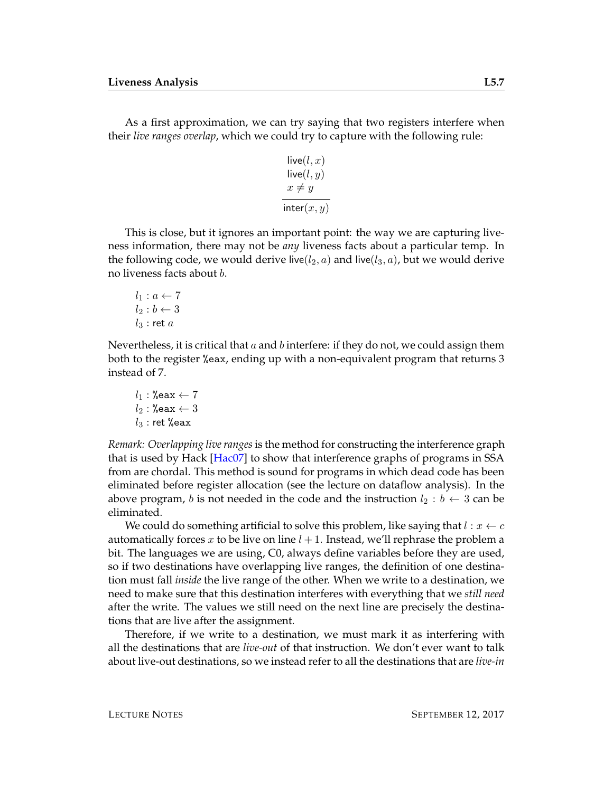As a first approximation, we can try saying that two registers interfere when their *live ranges overlap*, which we could try to capture with the following rule:

$$
live(l, x)
$$
  
live(l, y)  

$$
x \neq y
$$
  
inter(x, y)

This is close, but it ignores an important point: the way we are capturing liveness information, there may not be *any* liveness facts about a particular temp. In the following code, we would derive live( $l_2$ , a) and live( $l_3$ , a), but we would derive no liveness facts about b.

$$
l_1: a \leftarrow 7
$$
  

$$
l_2: b \leftarrow 3
$$
  

$$
l_3: \text{ret } a
$$

Nevertheless, it is critical that  $a$  and  $b$  interfere: if they do not, we could assign them both to the register %eax, ending up with a non-equivalent program that returns 3 instead of 7.

$$
l_1: \text{\%eax} \leftarrow 7
$$
  

$$
l_2: \text{\%eax} \leftarrow 3
$$
  

$$
l_3: \text{ret \%eax}
$$

*Remark: Overlapping live ranges*is the method for constructing the interference graph that is used by Hack [\[Hac07\]](#page-12-4) to show that interference graphs of programs in SSA from are chordal. This method is sound for programs in which dead code has been eliminated before register allocation (see the lecture on dataflow analysis). In the above program, b is not needed in the code and the instruction  $l_2 : b \leftarrow 3$  can be eliminated.

We could do something artificial to solve this problem, like saying that  $l : x \leftarrow c$ automatically forces x to be live on line  $l + 1$ . Instead, we'll rephrase the problem a bit. The languages we are using, C0, always define variables before they are used, so if two destinations have overlapping live ranges, the definition of one destination must fall *inside* the live range of the other. When we write to a destination, we need to make sure that this destination interferes with everything that we *still need* after the write. The values we still need on the next line are precisely the destinations that are live after the assignment.

Therefore, if we write to a destination, we must mark it as interfering with all the destinations that are *live-out* of that instruction. We don't ever want to talk about live-out destinations, so we instead refer to all the destinations that are *live-in*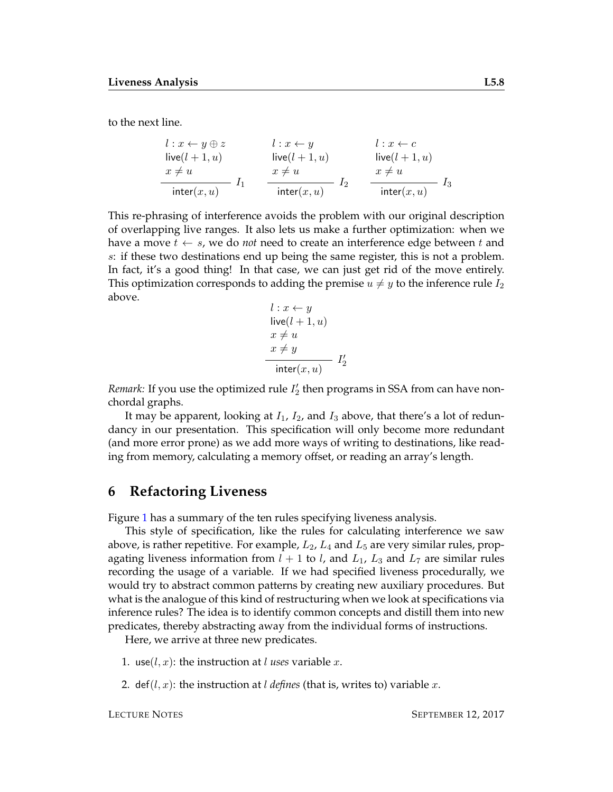to the next line.

$$
l: x \leftarrow y \oplus z \qquad l: x \leftarrow y \qquad l: x \leftarrow c
$$
  
\n
$$
l: x \leftarrow y \qquad l: x \leftarrow c
$$
  
\n
$$
l: x \leftarrow c
$$
  
\n
$$
l: x \leftarrow c
$$
  
\n
$$
l: x \leftarrow c
$$
  
\n
$$
l: x \leftarrow c
$$
  
\n
$$
l: x \leftarrow c
$$
  
\n
$$
l: x \leftarrow c
$$
  
\n
$$
l: x \leftarrow c
$$
  
\n
$$
l: x \leftarrow c
$$
  
\n
$$
l: x \leftarrow c
$$
  
\n
$$
l: x \leftarrow c
$$
  
\n
$$
l: x \leftarrow c
$$
  
\n
$$
l: x \leftarrow c
$$
  
\n
$$
l: x \leftarrow c
$$
  
\n
$$
l: x \leftarrow c
$$
  
\n
$$
l: x \leftarrow c
$$
  
\n
$$
l: x \leftarrow c
$$
  
\n
$$
l: x \leftarrow c
$$
  
\n
$$
l: x \leftarrow c
$$
  
\n
$$
l: x \leftarrow c
$$
  
\n
$$
l: x \leftarrow c
$$
  
\n
$$
l: x \leftarrow c
$$
  
\n
$$
l: x \leftarrow c
$$
  
\n
$$
l: x \leftarrow c
$$
  
\n
$$
l: x \leftarrow c
$$
  
\n
$$
l: x \leftarrow c
$$
  
\n
$$
l: x \leftarrow c
$$
  
\n
$$
l: x \leftarrow c
$$
  
\n
$$
l: x \leftarrow c
$$
  
\n
$$
l: x \leftarrow c
$$
  
\n
$$
l: x \leftarrow c
$$
  
\n
$$
l: x \leftarrow c
$$
  
\n
$$
l: x \leftarrow c
$$
  
\n
$$
l: x \leftarrow c
$$
  
\n
$$
l: x \leftarrow c
$$
  
\n
$$
l: x \leftarrow c
$$
  
\n
$$
l: x \leftarrow c
$$
  
\n
$$
l: x
$$

This re-phrasing of interference avoids the problem with our original description of overlapping live ranges. It also lets us make a further optimization: when we have a move  $t \leftarrow s$ , we do *not* need to create an interference edge between t and s: if these two destinations end up being the same register, this is not a problem. In fact, it's a good thing! In that case, we can just get rid of the move entirely. This optimization corresponds to adding the premise  $u \neq y$  to the inference rule  $I_2$ above.

$$
l: x \leftarrow y
$$
  
live $(l + 1, u)$   
 $x \neq u$   
 $x \neq y$   
inter $(x, u)$   $I'_2$ 

*Remark*: If you use the optimized rule  $I'_2$  then programs in SSA from can have nonchordal graphs.

It may be apparent, looking at  $I_1$ ,  $I_2$ , and  $I_3$  above, that there's a lot of redundancy in our presentation. This specification will only become more redundant (and more error prone) as we add more ways of writing to destinations, like reading from memory, calculating a memory offset, or reading an array's length.

#### **6 Refactoring Liveness**

Figure [1](#page-8-0) has a summary of the ten rules specifying liveness analysis.

This style of specification, like the rules for calculating interference we saw above, is rather repetitive. For example,  $L_2$ ,  $L_4$  and  $L_5$  are very similar rules, propagating liveness information from  $l + 1$  to l, and  $L_1$ ,  $L_3$  and  $L_7$  are similar rules recording the usage of a variable. If we had specified liveness procedurally, we would try to abstract common patterns by creating new auxiliary procedures. But what is the analogue of this kind of restructuring when we look at specifications via inference rules? The idea is to identify common concepts and distill them into new predicates, thereby abstracting away from the individual forms of instructions.

Here, we arrive at three new predicates.

- 1. use( $l, x$ ): the instruction at l uses variable x.
- 2. def( $l, x$ ): the instruction at *l* defines (that is, writes to) variable x.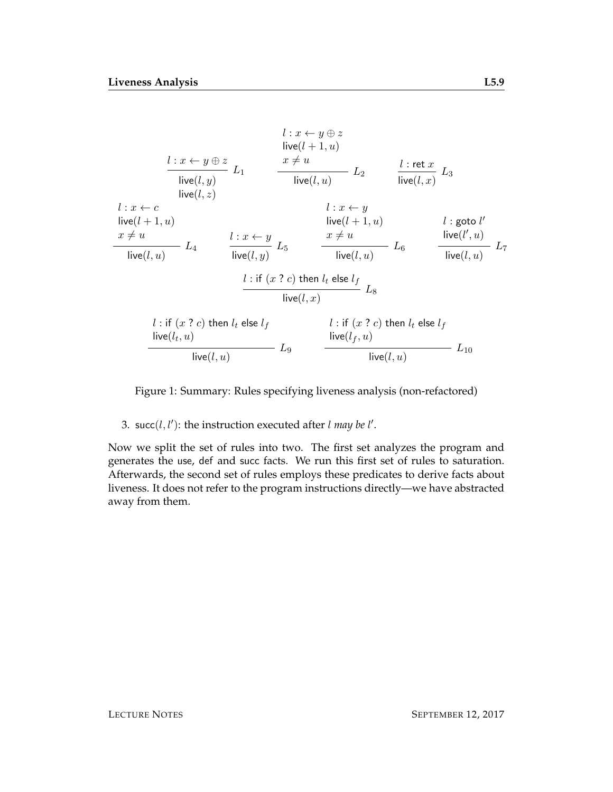$$
l: x \leftarrow y \oplus z
$$
  
\n
$$
l: x \leftarrow y \oplus z
$$
  
\n
$$
l: x \leftarrow y \oplus z
$$
  
\n
$$
l: x \leftarrow c
$$
  
\n
$$
l: x \leftarrow c
$$
  
\n
$$
l: x \leftarrow c
$$
  
\n
$$
l: x \leftarrow c
$$
  
\n
$$
l: x \leftarrow y
$$
  
\n
$$
l: x \leftarrow y
$$
  
\n
$$
l: w(l, x)
$$
  
\n
$$
l: w(l+1, u)
$$
  
\n
$$
l: y \leftarrow l
$$
  
\n
$$
l: w(l+1, u)
$$
  
\n
$$
l: y \leftarrow l
$$
  
\n
$$
l: w(l+1, u)
$$
  
\n
$$
l: y \leftarrow l
$$
  
\n
$$
l: w(l, u)
$$
  
\n
$$
l: u \leftarrow y
$$
  
\n
$$
l: u \leftarrow y
$$
  
\n
$$
l: u \leftarrow l
$$
  
\n
$$
l: u \leftarrow l
$$
  
\n
$$
l: u \leftarrow l
$$
  
\n
$$
l: u \leftarrow l
$$
  
\n
$$
l: u \leftarrow l
$$
  
\n
$$
l: u \leftarrow l
$$
  
\n
$$
l: u \leftarrow l
$$
  
\n
$$
l: u \leftarrow l
$$
  
\n
$$
l: u \leftarrow l
$$
  
\n
$$
l: u \leftarrow l
$$
  
\n
$$
l: u \leftarrow l
$$
  
\n
$$
l: u \leftarrow l
$$
  
\n
$$
l: u \leftarrow l
$$
  
\n
$$
l: u \leftarrow l
$$
  
\n
$$
l: u \leftarrow l
$$
  
\n
$$
l: u \leftarrow l
$$
  
\n
$$
l: u \leftarrow l
$$
  
\n
$$
l: u \leftarrow l
$$
  
\n
$$
l: u \leftarrow l
$$
  
\n
$$
l: u \leftarrow l
$$
  
\n
$$
l: u \left
$$

Figure 1: Summary: Rules specifying liveness analysis (non-refactored)

 $live(l, u)$ 

3. succ( $l$ , $l'$ ): the instruction executed after  $l$  *may be*  $l'$ .

<span id="page-8-0"></span> $live(l, u)$ 

Now we split the set of rules into two. The first set analyzes the program and generates the use, def and succ facts. We run this first set of rules to saturation. Afterwards, the second set of rules employs these predicates to derive facts about liveness. It does not refer to the program instructions directly—we have abstracted away from them.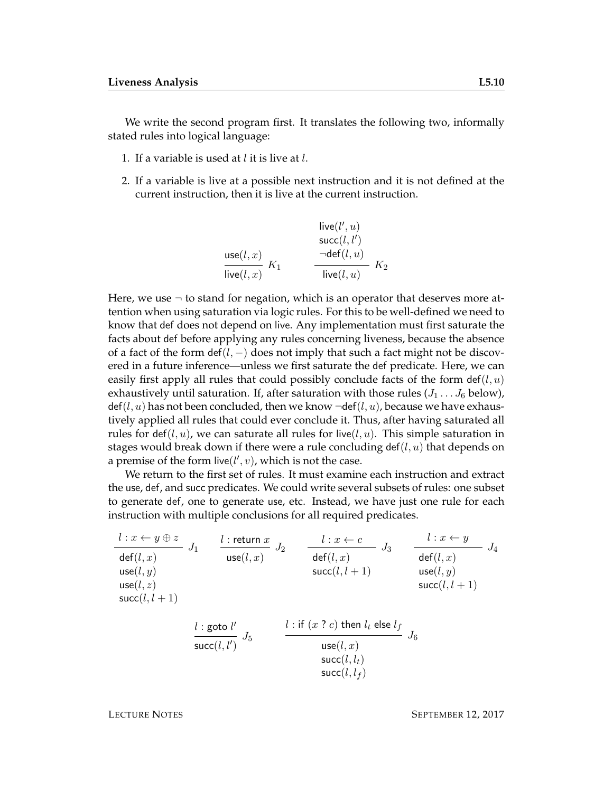We write the second program first. It translates the following two, informally stated rules into logical language:

- 1. If a variable is used at  $l$  it is live at  $l$ .
- 2. If a variable is live at a possible next instruction and it is not defined at the current instruction, then it is live at the current instruction.

$$
\begin{array}{ll}\text{live}(l',u) \\ \text{succ}(l,x') \\ \frac{\text{usc}(l,x)}{\text{live}(l,x)} \ K_1 & \frac{\neg \text{def}(l,u)}{\text{live}(l,u)} \ K_2 \end{array}
$$

Here, we use  $\neg$  to stand for negation, which is an operator that deserves more attention when using saturation via logic rules. For this to be well-defined we need to know that def does not depend on live. Any implementation must first saturate the facts about def before applying any rules concerning liveness, because the absence of a fact of the form def( $l, -$ ) does not imply that such a fact might not be discovered in a future inference—unless we first saturate the def predicate. Here, we can easily first apply all rules that could possibly conclude facts of the form  $\det(l, u)$ exhaustively until saturation. If, after saturation with those rules  $(J_1 \ldots J_6)$  below),  $\det(l, u)$  has not been concluded, then we know  $\neg \det(l, u)$ , because we have exhaustively applied all rules that could ever conclude it. Thus, after having saturated all rules for def(l, u), we can saturate all rules for live(l, u). This simple saturation in stages would break down if there were a rule concluding  $\det(l, u)$  that depends on a premise of the form  $\text{live}(l', v)$ , which is not the case.

We return to the first set of rules. It must examine each instruction and extract the use, def, and succ predicates. We could write several subsets of rules: one subset to generate def, one to generate use, etc. Instead, we have just one rule for each instruction with multiple conclusions for all required predicates.

$$
\begin{array}{llll} \frac{l:x\leftarrow y\oplus z}{\mathsf{def}(l,x)} & J_1 & \frac{l:\mathsf{return}\;x}{\mathsf{use}(l,x)} & J_2 & \frac{l:x\leftarrow c}{\mathsf{def}(l,x)} & J_3 & \frac{l:x\leftarrow y}{\mathsf{def}(l,x)} & J_4\\ \mathsf{use}(l,y) & \mathsf{succ}(l,l+1) & \mathsf{succ}(l,y) & \mathsf{use}(l,y) \\ \mathsf{succ}(l,l+1) & \mathsf{succ}(l,l+1) & \mathsf{succ}(l,l+1) \\ & \frac{l:\mathsf{goto}\;l'}{\mathsf{succ}(l,l')} & J_5 & \frac{l:\mathsf{if}\;(x\;? \; c)\;\mathsf{then}\;l_t\;\mathsf{else}\;l_f}{\mathsf{use}(l,x)} & J_6\\ & \mathsf{succ}(l,l_t) & \mathsf{succ}(l,l_f) & \\ \end{array}
$$

LECTURE NOTES SEPTEMBER 12, 2017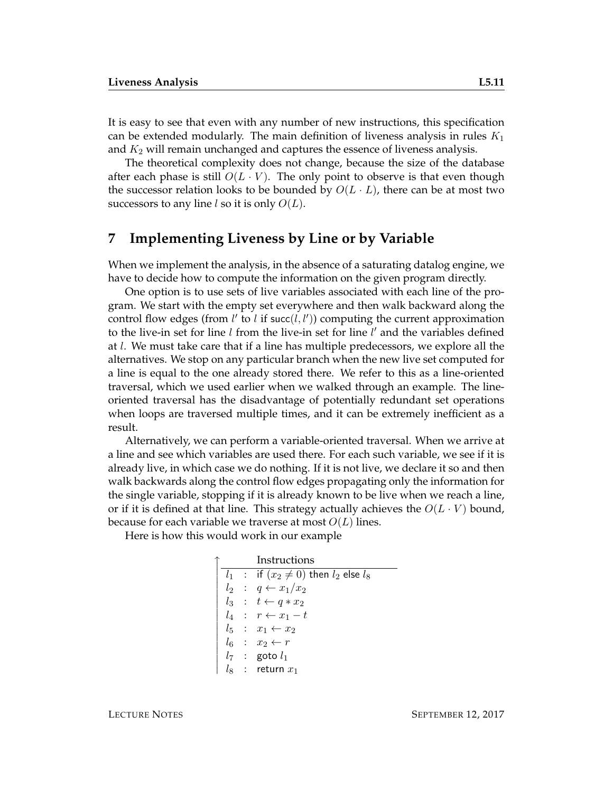It is easy to see that even with any number of new instructions, this specification can be extended modularly. The main definition of liveness analysis in rules  $K_1$ and  $K_2$  will remain unchanged and captures the essence of liveness analysis.

The theoretical complexity does not change, because the size of the database after each phase is still  $O(L \cdot V)$ . The only point to observe is that even though the successor relation looks to be bounded by  $O(L \cdot L)$ , there can be at most two successors to any line l so it is only  $O(L)$ .

#### **7 Implementing Liveness by Line or by Variable**

When we implement the analysis, in the absence of a saturating datalog engine, we have to decide how to compute the information on the given program directly.

One option is to use sets of live variables associated with each line of the program. We start with the empty set everywhere and then walk backward along the control flow edges (from  $l'$  to  $l$  if succ $(l, l')$ ) computing the current approximation to the live-in set for line  $l$  from the live-in set for line  $l'$  and the variables defined at l. We must take care that if a line has multiple predecessors, we explore all the alternatives. We stop on any particular branch when the new live set computed for a line is equal to the one already stored there. We refer to this as a line-oriented traversal, which we used earlier when we walked through an example. The lineoriented traversal has the disadvantage of potentially redundant set operations when loops are traversed multiple times, and it can be extremely inefficient as a result.

Alternatively, we can perform a variable-oriented traversal. When we arrive at a line and see which variables are used there. For each such variable, we see if it is already live, in which case we do nothing. If it is not live, we declare it so and then walk backwards along the control flow edges propagating only the information for the single variable, stopping if it is already known to be live when we reach a line, or if it is defined at that line. This strategy actually achieves the  $O(L \cdot V)$  bound, because for each variable we traverse at most  $O(L)$  lines.

Here is how this would work in our example

| Instructions |  |                                                 |  |  |
|--------------|--|-------------------------------------------------|--|--|
|              |  | $l_1$ : if $(x_2 \neq 0)$ then $l_2$ else $l_8$ |  |  |
|              |  | $l_2$ : $q \leftarrow x_1/x_2$                  |  |  |
|              |  | $l_3 : t \leftarrow q * x_2$                    |  |  |
|              |  | $l_4$ : $r \leftarrow x_1 - t$                  |  |  |
|              |  | $l_5$ : $x_1 \leftarrow x_2$                    |  |  |
|              |  | $l_6$ : $x_2 \leftarrow r$                      |  |  |
|              |  | $l_7$ : goto $l_1$                              |  |  |
|              |  | $l_8$ : return $x_1$                            |  |  |
|              |  |                                                 |  |  |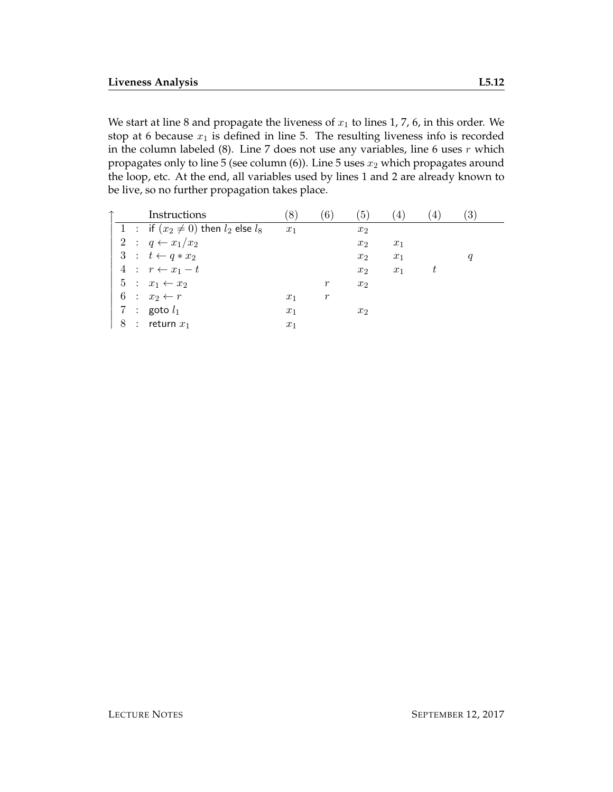We start at line 8 and propagate the liveness of  $x_1$  to lines 1, 7, 6, in this order. We stop at 6 because  $x_1$  is defined in line 5. The resulting liveness info is recorded in the column labeled  $(8)$ . Line 7 does not use any variables, line 6 uses  $r$  which propagates only to line 5 (see column  $(6)$ ). Line 5 uses  $x_2$  which propagates around the loop, etc. At the end, all variables used by lines 1 and 2 are already known to be live, so no further propagation takes place.

|   | Instructions                                | $\left(8\right)$ | 6)    | (5)            | $\overline{4}$ | 4 | $\left(3\right)$ |
|---|---------------------------------------------|------------------|-------|----------------|----------------|---|------------------|
|   | 1 : if $(x_2 \neq 0)$ then $l_2$ else $l_8$ | $x_1$            |       | $x_2$          |                |   |                  |
|   | 2 : $q \leftarrow x_1/x_2$                  |                  |       | $x_2$          | $x_1$          |   |                  |
|   | $3 : t \leftarrow q * x_2$                  |                  |       | $x_2$          | $x_1$          |   | q                |
|   | 4 : $r \leftarrow x_1 - t$                  |                  |       | x <sub>2</sub> | $x_1$          | t |                  |
|   | $5: x_1 \leftarrow x_2$                     |                  | $\,r$ | $x_2$          |                |   |                  |
|   | $6: x_2 \leftarrow r$                       | $x_1$            | $\,r$ |                |                |   |                  |
|   | 7 : goto $l_1$                              | $x_1$            |       | x <sub>2</sub> |                |   |                  |
| 8 | $\therefore$ return $x_1$                   | $x_1$            |       |                |                |   |                  |